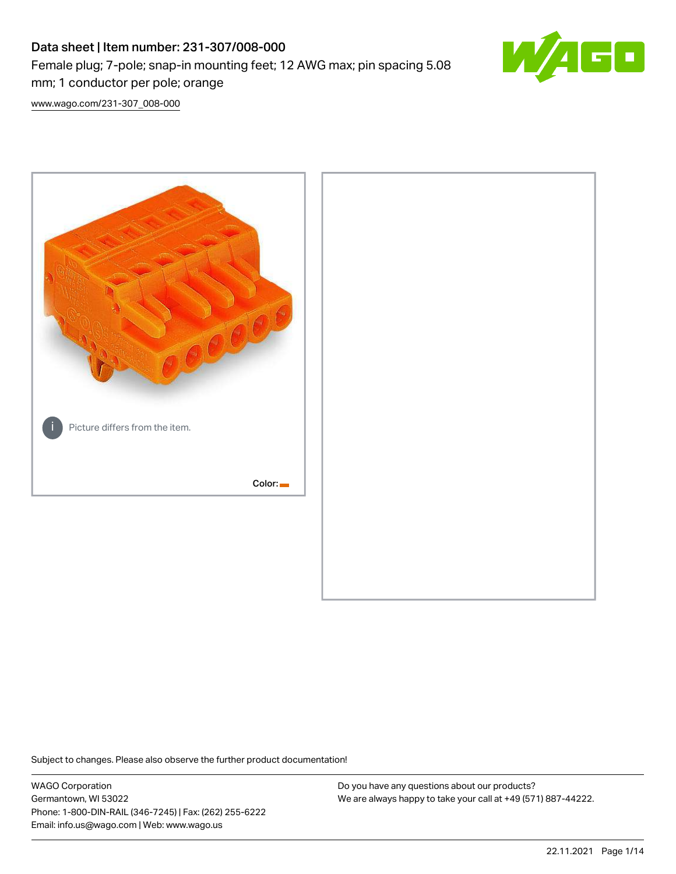# Data sheet | Item number: 231-307/008-000 Female plug; 7-pole; snap-in mounting feet; 12 AWG max; pin spacing 5.08 mm; 1 conductor per pole; orange



[www.wago.com/231-307\\_008-000](http://www.wago.com/231-307_008-000)



Subject to changes. Please also observe the further product documentation!

WAGO Corporation Germantown, WI 53022 Phone: 1-800-DIN-RAIL (346-7245) | Fax: (262) 255-6222 Email: info.us@wago.com | Web: www.wago.us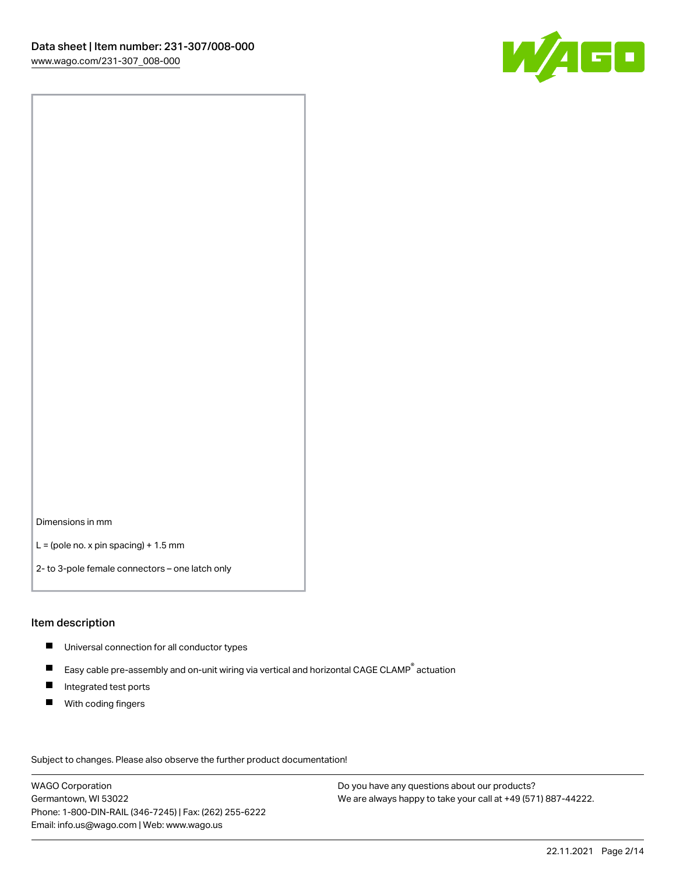

Dimensions in mm

 $L =$  (pole no. x pin spacing) + 1.5 mm

2- to 3-pole female connectors – one latch only

#### Item description

- **Universal connection for all conductor types**
- Easy cable pre-assembly and on-unit wiring via vertical and horizontal CAGE CLAMP<sup>®</sup> actuation  $\blacksquare$
- $\blacksquare$ Integrated test ports
- $\blacksquare$ With coding fingers

Subject to changes. Please also observe the further product documentation! Data

WAGO Corporation Germantown, WI 53022 Phone: 1-800-DIN-RAIL (346-7245) | Fax: (262) 255-6222 Email: info.us@wago.com | Web: www.wago.us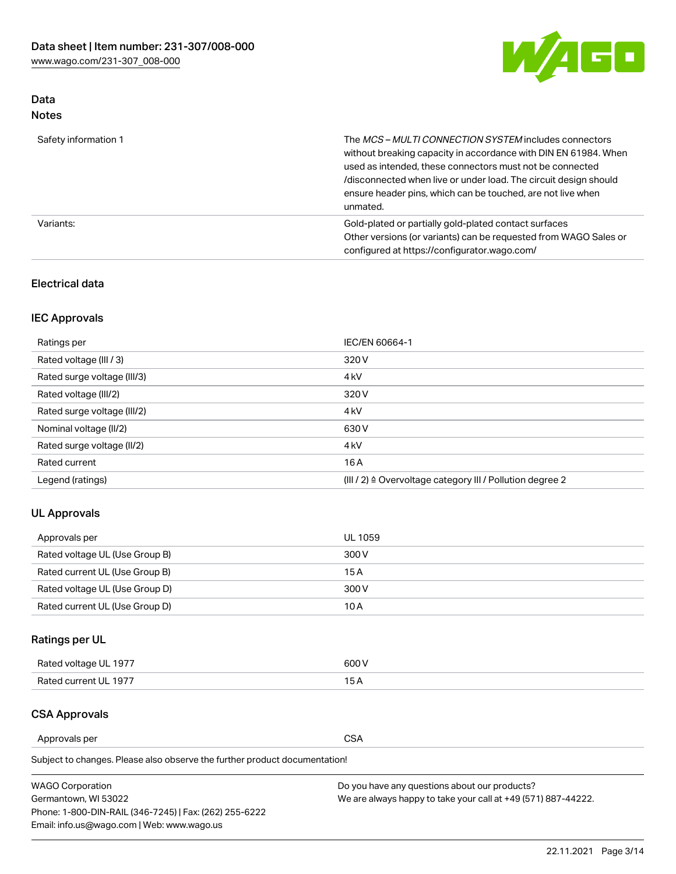

# Data Notes

| Safety information 1 | The MCS-MULTI CONNECTION SYSTEM includes connectors<br>without breaking capacity in accordance with DIN EN 61984. When<br>used as intended, these connectors must not be connected<br>/disconnected when live or under load. The circuit design should<br>ensure header pins, which can be touched, are not live when<br>unmated. |
|----------------------|-----------------------------------------------------------------------------------------------------------------------------------------------------------------------------------------------------------------------------------------------------------------------------------------------------------------------------------|
| Variants:            | Gold-plated or partially gold-plated contact surfaces<br>Other versions (or variants) can be requested from WAGO Sales or<br>configured at https://configurator.wago.com/                                                                                                                                                         |

# Electrical data

# IEC Approvals

| Ratings per                 | IEC/EN 60664-1                                                        |
|-----------------------------|-----------------------------------------------------------------------|
| Rated voltage (III / 3)     | 320 V                                                                 |
| Rated surge voltage (III/3) | 4 <sub>k</sub> V                                                      |
| Rated voltage (III/2)       | 320 V                                                                 |
| Rated surge voltage (III/2) | 4 <sub>k</sub> V                                                      |
| Nominal voltage (II/2)      | 630 V                                                                 |
| Rated surge voltage (II/2)  | 4 <sub>k</sub> V                                                      |
| Rated current               | 16 A                                                                  |
| Legend (ratings)            | $(III / 2)$ $\triangle$ Overvoltage category III / Pollution degree 2 |

# UL Approvals

| Approvals per                  | UL 1059 |
|--------------------------------|---------|
| Rated voltage UL (Use Group B) | 300 V   |
| Rated current UL (Use Group B) | 15 A    |
| Rated voltage UL (Use Group D) | 300 V   |
| Rated current UL (Use Group D) | 10 A    |

# Ratings per UL

| Rated voltage UL 1977 | 300 V |
|-----------------------|-------|
| Rated current UL 1977 |       |

# CSA Approvals

Approvals per CSA

Subject to changes. Please also observe the further product documentation!

| <b>WAGO Corporation</b>                                | Do you have any questions about our products?                 |
|--------------------------------------------------------|---------------------------------------------------------------|
| Germantown, WI 53022                                   | We are always happy to take your call at +49 (571) 887-44222. |
| Phone: 1-800-DIN-RAIL (346-7245)   Fax: (262) 255-6222 |                                                               |
| Email: info.us@wago.com   Web: www.wago.us             |                                                               |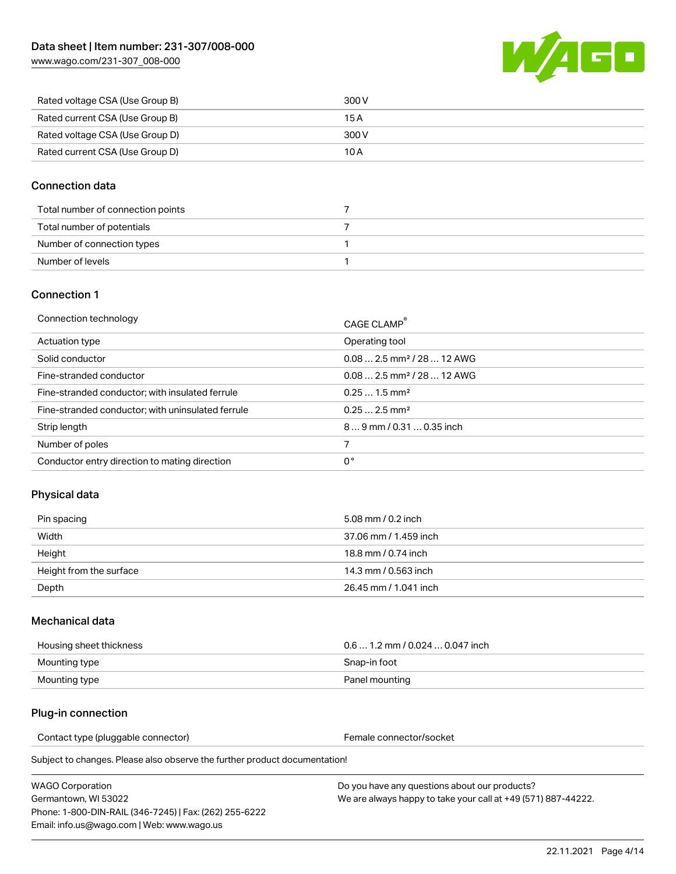[www.wago.com/231-307\\_008-000](http://www.wago.com/231-307_008-000)



| Rated voltage CSA (Use Group B) | 300 V |
|---------------------------------|-------|
| Rated current CSA (Use Group B) | 15 A  |
| Rated voltage CSA (Use Group D) | 300 V |
| Rated current CSA (Use Group D) | 10 A  |

# Connection data

| Total number of connection points |  |
|-----------------------------------|--|
| Total number of potentials        |  |
| Number of connection types        |  |
| Number of levels                  |  |

# Connection 1

| Connection technology                             | CAGE CLAMP <sup>®</sup>                 |
|---------------------------------------------------|-----------------------------------------|
| Actuation type                                    | Operating tool                          |
| Solid conductor                                   | $0.082.5$ mm <sup>2</sup> / 28  12 AWG  |
| Fine-stranded conductor                           | $0.08$ 2.5 mm <sup>2</sup> / 28  12 AWG |
| Fine-stranded conductor; with insulated ferrule   | $0.251.5$ mm <sup>2</sup>               |
| Fine-stranded conductor; with uninsulated ferrule | $0.252.5$ mm <sup>2</sup>               |
| Strip length                                      | 89 mm / 0.31  0.35 inch                 |
| Number of poles                                   |                                         |
| Conductor entry direction to mating direction     | 0°                                      |

# Physical data

| Pin spacing             | 5.08 mm / 0.2 inch    |
|-------------------------|-----------------------|
| Width                   | 37.06 mm / 1.459 inch |
| Height                  | 18.8 mm / 0.74 inch   |
| Height from the surface | 14.3 mm / 0.563 inch  |
| Depth                   | 26.45 mm / 1.041 inch |

### Mechanical data

| Housing sheet thickness | $0.61.2$ mm / 0.024  0.047 inch |
|-------------------------|---------------------------------|
| Mounting type           | Snap-in foot                    |
| Mounting type           | Panel mounting                  |

### Plug-in connection

Contact type (pluggable connector) example a set of the Female connector/socket

Subject to changes. Please also observe the further product documentation!

WAGO Corporation Germantown, WI 53022 Phone: 1-800-DIN-RAIL (346-7245) | Fax: (262) 255-6222 Email: info.us@wago.com | Web: www.wago.us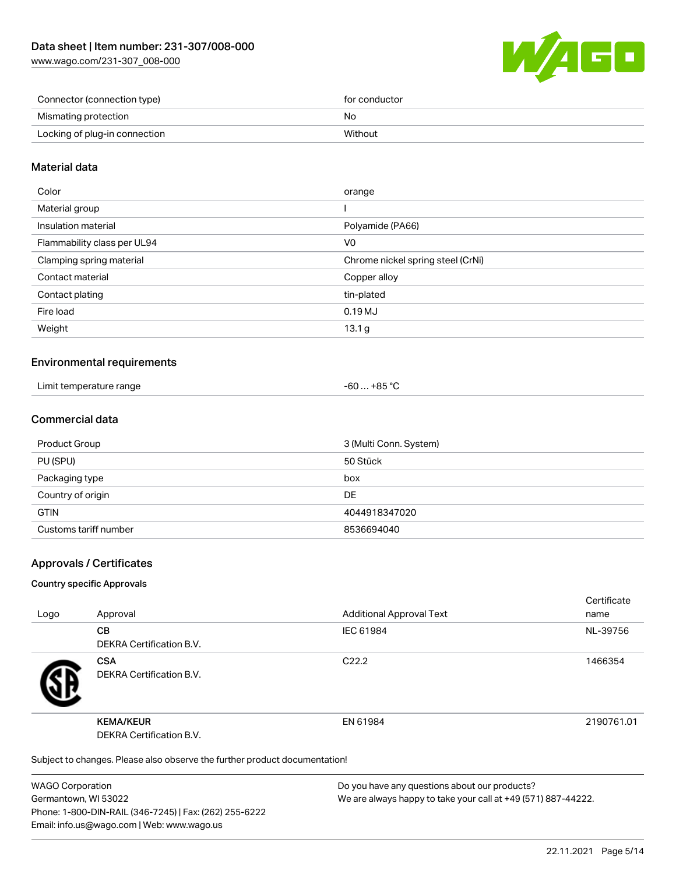[www.wago.com/231-307\\_008-000](http://www.wago.com/231-307_008-000)



| Connector (connection type)   | for conductor |
|-------------------------------|---------------|
| Mismating protection          | No            |
| Locking of plug-in connection | Without       |
|                               |               |

# Material data

| Color                       | orange                            |
|-----------------------------|-----------------------------------|
| Material group              |                                   |
| Insulation material         | Polyamide (PA66)                  |
| Flammability class per UL94 | V0                                |
| Clamping spring material    | Chrome nickel spring steel (CrNi) |
| Contact material            | Copper alloy                      |
| Contact plating             | tin-plated                        |
| Fire load                   | 0.19MJ                            |
| Weight                      | 13.1 <sub>g</sub>                 |
|                             |                                   |

# Environmental requirements

| Limit temperature range<br>. | -60  +85 °C |
|------------------------------|-------------|
|------------------------------|-------------|

### Commercial data

| Product Group         | 3 (Multi Conn. System) |
|-----------------------|------------------------|
| PU (SPU)              | 50 Stück               |
| Packaging type        | box                    |
| Country of origin     | DE                     |
| <b>GTIN</b>           | 4044918347020          |
| Customs tariff number | 8536694040             |

### Approvals / Certificates

#### Country specific Approvals

| Logo | Approval                                                                   | <b>Additional Approval Text</b> | Certificate<br>name |
|------|----------------------------------------------------------------------------|---------------------------------|---------------------|
|      | <b>CB</b><br><b>DEKRA Certification B.V.</b>                               | IEC 61984                       | NL-39756            |
|      | <b>CSA</b><br>DEKRA Certification B.V.                                     | C <sub>22.2</sub>               | 1466354             |
|      | <b>KEMA/KEUR</b><br>DEKRA Certification B.V.                               | EN 61984                        | 2190761.01          |
|      | Subject to changes. Please also observe the further product documentation! |                                 |                     |

WAGO Corporation Germantown, WI 53022 Phone: 1-800-DIN-RAIL (346-7245) | Fax: (262) 255-6222 Email: info.us@wago.com | Web: www.wago.us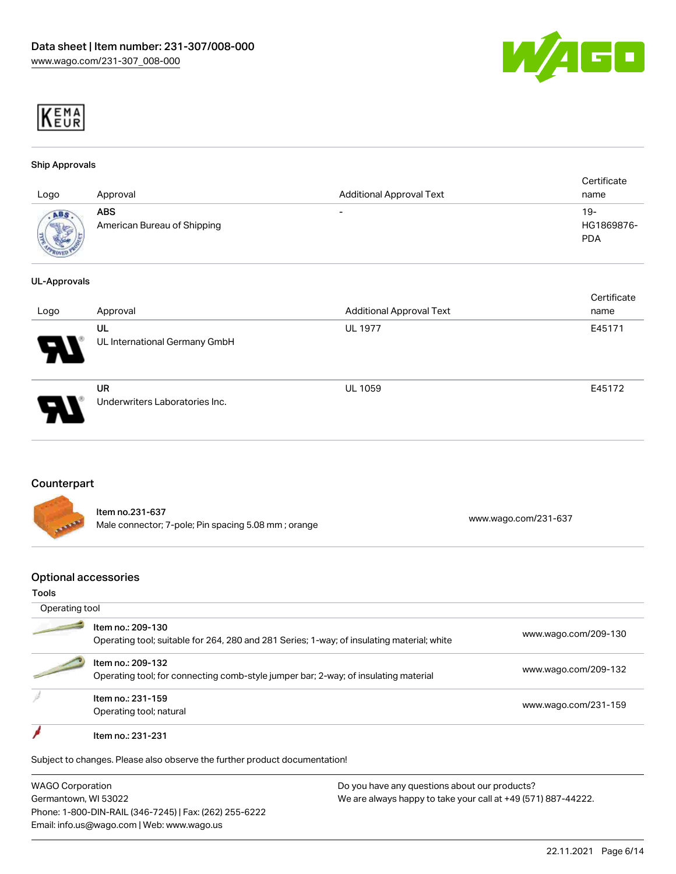



#### Ship Approvals

| Logo                       | Approval                                  | <b>Additional Approval Text</b> | Certificate<br>name             |
|----------------------------|-------------------------------------------|---------------------------------|---------------------------------|
| ABS<br><b>SECOND MARKS</b> | <b>ABS</b><br>American Bureau of Shipping | $\overline{\phantom{0}}$        | 19-<br>HG1869876-<br><b>PDA</b> |

#### UL-Approvals

| Logo                       | Approval                       | <b>Additional Approval Text</b> | Certificate<br>name |
|----------------------------|--------------------------------|---------------------------------|---------------------|
|                            |                                |                                 |                     |
|                            | UL                             | <b>UL 1977</b>                  | E45171              |
| $\boldsymbol{\mathcal{A}}$ | UL International Germany GmbH  |                                 |                     |
|                            | <b>UR</b>                      | <b>UL 1059</b>                  | E45172              |
| 8                          | Underwriters Laboratories Inc. |                                 |                     |

# Counterpart

|                | ltem no.231-637                                     |                      |
|----------------|-----------------------------------------------------|----------------------|
| <b>CEARING</b> | Male connector; 7-pole; Pin spacing 5.08 mm; orange | www.wago.com/231-637 |

### Optional accessories

#### Tools

| Operating tool |                                                                                                                 |                      |
|----------------|-----------------------------------------------------------------------------------------------------------------|----------------------|
|                | Item no.: 209-130<br>Operating tool; suitable for 264, 280 and 281 Series; 1-way; of insulating material; white | www.wago.com/209-130 |
|                | Item no.: 209-132<br>Operating tool; for connecting comb-style jumper bar; 2-way; of insulating material        | www.wago.com/209-132 |
|                | Item no.: 231-159<br>Operating tool; natural                                                                    | www.wago.com/231-159 |
|                | Item no.: 231-231                                                                                               |                      |
|                | Subject to changes. Please also observe the further product documentation!                                      |                      |

WAGO Corporation Germantown, WI 53022 Phone: 1-800-DIN-RAIL (346-7245) | Fax: (262) 255-6222 Email: info.us@wago.com | Web: www.wago.us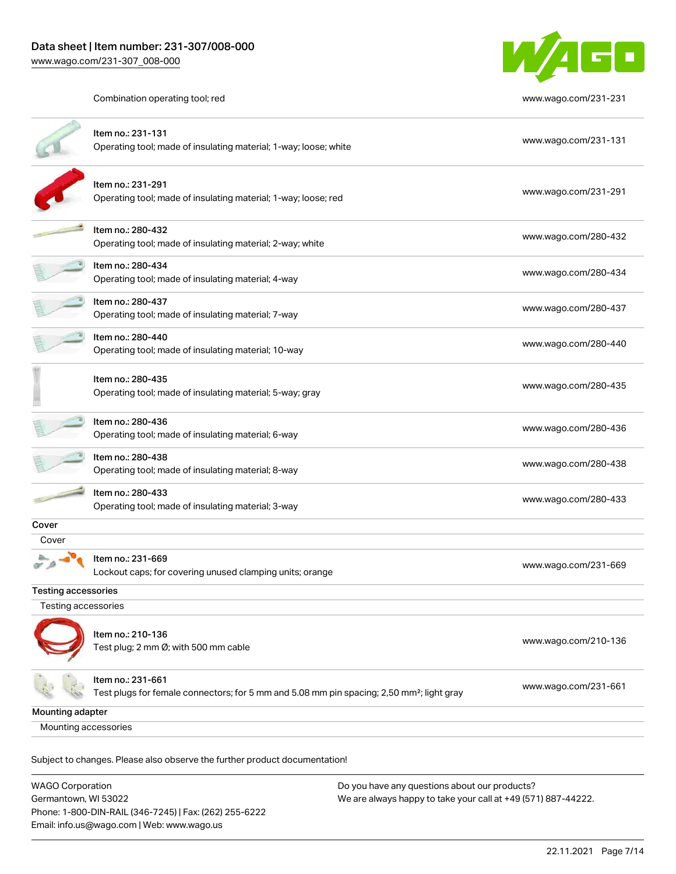

Combination operating tool; red [www.wago.com/231-231](http://www.wago.com/231-231)

|                      | Item no.: 231-131<br>Operating tool; made of insulating material; 1-way; loose; white                                      | www.wago.com/231-131 |  |
|----------------------|----------------------------------------------------------------------------------------------------------------------------|----------------------|--|
|                      | Item no.: 231-291<br>Operating tool; made of insulating material; 1-way; loose; red                                        | www.wago.com/231-291 |  |
|                      | Item no.: 280-432<br>Operating tool; made of insulating material; 2-way; white                                             | www.wago.com/280-432 |  |
|                      | Item no.: 280-434<br>Operating tool; made of insulating material; 4-way                                                    | www.wago.com/280-434 |  |
|                      | Item no.: 280-437<br>Operating tool; made of insulating material; 7-way                                                    | www.wago.com/280-437 |  |
|                      | Item no.: 280-440<br>Operating tool; made of insulating material; 10-way                                                   | www.wago.com/280-440 |  |
|                      | Item no.: 280-435<br>Operating tool; made of insulating material; 5-way; gray                                              | www.wago.com/280-435 |  |
|                      | Item no.: 280-436<br>Operating tool; made of insulating material; 6-way                                                    | www.wago.com/280-436 |  |
|                      | Item no.: 280-438<br>Operating tool; made of insulating material; 8-way                                                    | www.wago.com/280-438 |  |
|                      | Item no.: 280-433<br>Operating tool; made of insulating material; 3-way                                                    | www.wago.com/280-433 |  |
| Cover                |                                                                                                                            |                      |  |
| Cover                |                                                                                                                            |                      |  |
|                      | Item no.: 231-669<br>Lockout caps; for covering unused clamping units; orange                                              | www.wago.com/231-669 |  |
| Testing accessories  |                                                                                                                            |                      |  |
| Testing accessories  |                                                                                                                            |                      |  |
|                      | Item no.: 210-136<br>Test plug; 2 mm Ø; with 500 mm cable                                                                  | www.wago.com/210-136 |  |
|                      | ltem no.: 231-661<br>Test plugs for female connectors; for 5 mm and 5.08 mm pin spacing; 2,50 mm <sup>2</sup> ; light gray | www.wago.com/231-661 |  |
| Mounting adapter     |                                                                                                                            |                      |  |
| Mounting accessories |                                                                                                                            |                      |  |
|                      | Subject to changes. Please also observe the further product documentation!                                                 |                      |  |

WAGO Corporation Germantown, WI 53022 Phone: 1-800-DIN-RAIL (346-7245) | Fax: (262) 255-6222 Email: info.us@wago.com | Web: www.wago.us Do you have any questions about our products? We are always happy to take your call at +49 (571) 887-44222.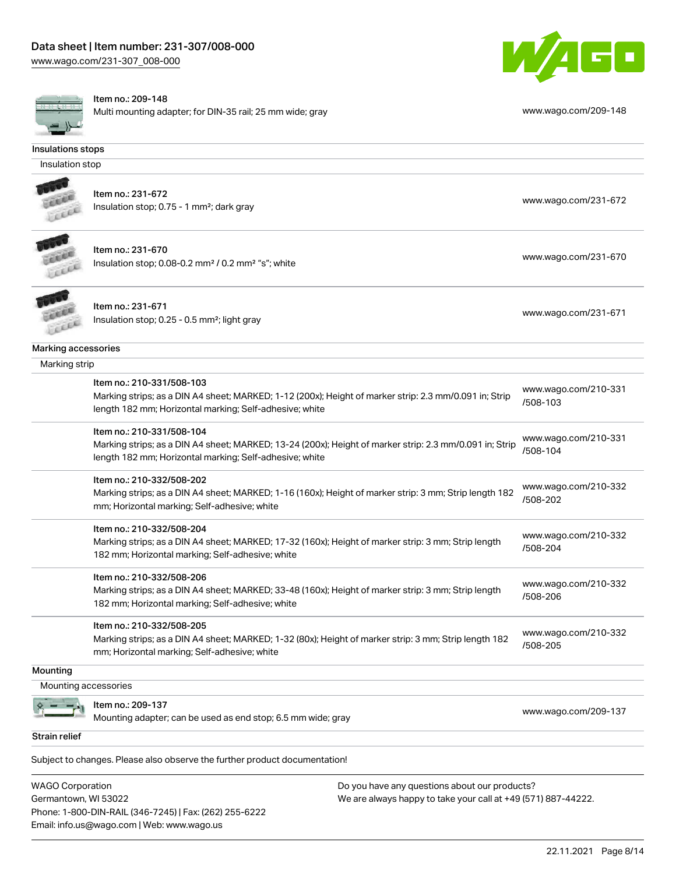[www.wago.com/231-307\\_008-000](http://www.wago.com/231-307_008-000)



#### Item no.: 209-148

Multi mounting adapter; for DIN-35 rail; 25 mm wide; gray [www.wago.com/209-148](http://www.wago.com/209-148)



|                      | Multi modifility adapter, for DiN-33 rail, 29 min wide, gray                                                                                                                                    | w.wago.commzou ito               |
|----------------------|-------------------------------------------------------------------------------------------------------------------------------------------------------------------------------------------------|----------------------------------|
| Insulations stops    |                                                                                                                                                                                                 |                                  |
| Insulation stop      |                                                                                                                                                                                                 |                                  |
|                      | Item no.: 231-672<br>Insulation stop; 0.75 - 1 mm <sup>2</sup> ; dark gray                                                                                                                      | www.wago.com/231-672             |
|                      | Item no.: 231-670<br>Insulation stop; 0.08-0.2 mm <sup>2</sup> / 0.2 mm <sup>2</sup> "s"; white                                                                                                 | www.wago.com/231-670             |
|                      | Item no.: 231-671<br>Insulation stop; 0.25 - 0.5 mm <sup>2</sup> ; light gray                                                                                                                   | www.wago.com/231-671             |
| Marking accessories  |                                                                                                                                                                                                 |                                  |
| Marking strip        |                                                                                                                                                                                                 |                                  |
|                      | Item no.: 210-331/508-103<br>Marking strips; as a DIN A4 sheet; MARKED; 1-12 (200x); Height of marker strip: 2.3 mm/0.091 in; Strip<br>length 182 mm; Horizontal marking; Self-adhesive; white  | www.wago.com/210-331<br>/508-103 |
|                      | Item no.: 210-331/508-104<br>Marking strips; as a DIN A4 sheet; MARKED; 13-24 (200x); Height of marker strip: 2.3 mm/0.091 in; Strip<br>length 182 mm; Horizontal marking; Self-adhesive; white | www.wago.com/210-331<br>/508-104 |
|                      | Item no.: 210-332/508-202<br>Marking strips; as a DIN A4 sheet; MARKED; 1-16 (160x); Height of marker strip: 3 mm; Strip length 182<br>mm; Horizontal marking; Self-adhesive; white             | www.wago.com/210-332<br>/508-202 |
|                      | Item no.: 210-332/508-204<br>Marking strips; as a DIN A4 sheet; MARKED; 17-32 (160x); Height of marker strip: 3 mm; Strip length<br>182 mm; Horizontal marking; Self-adhesive; white            | www.wago.com/210-332<br>/508-204 |
|                      | Item no.: 210-332/508-206<br>Marking strips; as a DIN A4 sheet; MARKED; 33-48 (160x); Height of marker strip: 3 mm; Strip length<br>182 mm; Horizontal marking; Self-adhesive; white            | www.wago.com/210-332<br>/508-206 |
|                      | Item no.: 210-332/508-205<br>Marking strips; as a DIN A4 sheet; MARKED; 1-32 (80x); Height of marker strip: 3 mm; Strip length 182<br>mm; Horizontal marking; Self-adhesive; white              | www.wago.com/210-332<br>/508-205 |
| Mounting             |                                                                                                                                                                                                 |                                  |
| Mounting accessories |                                                                                                                                                                                                 |                                  |
|                      | Item no.: 209-137<br>Mounting adapter; can be used as end stop; 6.5 mm wide; gray                                                                                                               | www.wago.com/209-137             |
| <b>Strain relief</b> |                                                                                                                                                                                                 |                                  |

Subject to changes. Please also observe the further product documentation!

WAGO Corporation Germantown, WI 53022 Phone: 1-800-DIN-RAIL (346-7245) | Fax: (262) 255-6222 Email: info.us@wago.com | Web: www.wago.us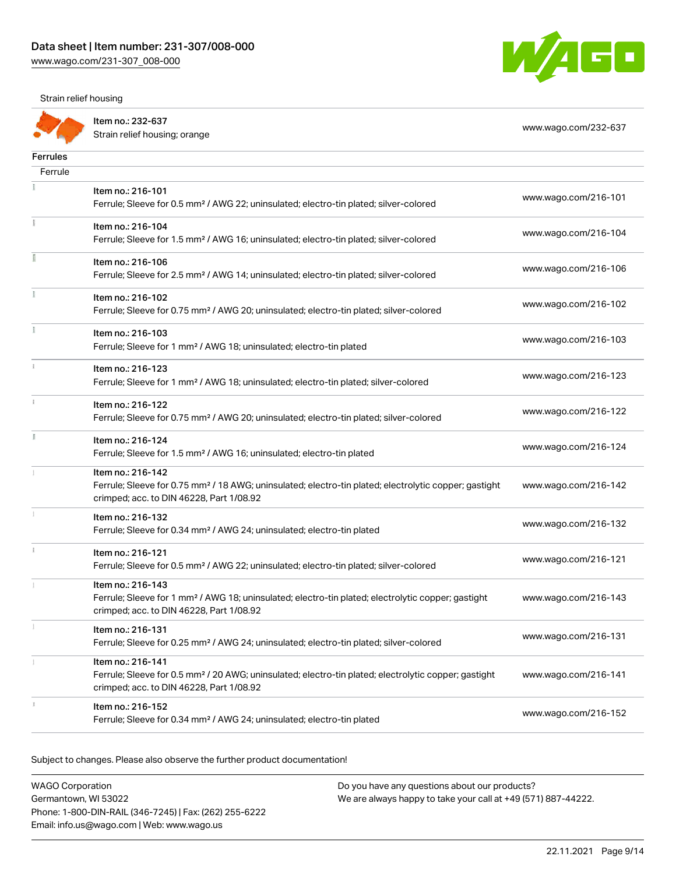Strain relief housing



|                 | Item no.: 232-637<br>Strain relief housing; orange                                                                                                            | www.wago.com/232-637 |
|-----------------|---------------------------------------------------------------------------------------------------------------------------------------------------------------|----------------------|
| <b>Ferrules</b> |                                                                                                                                                               |                      |
| Ferrule         |                                                                                                                                                               |                      |
|                 | Item no.: 216-101                                                                                                                                             |                      |
|                 | Ferrule; Sleeve for 0.5 mm <sup>2</sup> / AWG 22; uninsulated; electro-tin plated; silver-colored                                                             | www.wago.com/216-101 |
|                 | Item no.: 216-104                                                                                                                                             |                      |
|                 | Ferrule; Sleeve for 1.5 mm <sup>2</sup> / AWG 16; uninsulated; electro-tin plated; silver-colored                                                             | www.wago.com/216-104 |
| I               | Item no.: 216-106                                                                                                                                             |                      |
|                 | Ferrule; Sleeve for 2.5 mm <sup>2</sup> / AWG 14; uninsulated; electro-tin plated; silver-colored                                                             | www.wago.com/216-106 |
|                 | Item no.: 216-102                                                                                                                                             | www.wago.com/216-102 |
|                 | Ferrule; Sleeve for 0.75 mm <sup>2</sup> / AWG 20; uninsulated; electro-tin plated; silver-colored                                                            |                      |
|                 | Item no.: 216-103                                                                                                                                             | www.wago.com/216-103 |
|                 | Ferrule; Sleeve for 1 mm <sup>2</sup> / AWG 18; uninsulated; electro-tin plated                                                                               |                      |
|                 | Item no.: 216-123                                                                                                                                             | www.wago.com/216-123 |
|                 | Ferrule; Sleeve for 1 mm <sup>2</sup> / AWG 18; uninsulated; electro-tin plated; silver-colored                                                               |                      |
| $\frac{1}{3}$   | Item no.: 216-122                                                                                                                                             | www.wago.com/216-122 |
|                 | Ferrule; Sleeve for 0.75 mm <sup>2</sup> / AWG 20; uninsulated; electro-tin plated; silver-colored                                                            |                      |
|                 | Item no.: 216-124                                                                                                                                             | www.wago.com/216-124 |
|                 | Ferrule; Sleeve for 1.5 mm <sup>2</sup> / AWG 16; uninsulated; electro-tin plated                                                                             |                      |
|                 | Item no.: 216-142                                                                                                                                             |                      |
|                 | Ferrule; Sleeve for 0.75 mm <sup>2</sup> / 18 AWG; uninsulated; electro-tin plated; electrolytic copper; gastight<br>crimped; acc. to DIN 46228, Part 1/08.92 | www.wago.com/216-142 |
|                 | Item no.: 216-132                                                                                                                                             |                      |
|                 | Ferrule; Sleeve for 0.34 mm <sup>2</sup> / AWG 24; uninsulated; electro-tin plated                                                                            | www.wago.com/216-132 |
|                 | Item no.: 216-121                                                                                                                                             | www.wago.com/216-121 |
|                 | Ferrule; Sleeve for 0.5 mm <sup>2</sup> / AWG 22; uninsulated; electro-tin plated; silver-colored                                                             |                      |
|                 | Item no.: 216-143                                                                                                                                             |                      |
|                 | Ferrule; Sleeve for 1 mm <sup>2</sup> / AWG 18; uninsulated; electro-tin plated; electrolytic copper; gastight<br>crimped; acc. to DIN 46228, Part 1/08.92    | www.wago.com/216-143 |
|                 | Item no.: 216-131                                                                                                                                             |                      |
|                 | Ferrule; Sleeve for 0.25 mm <sup>2</sup> / AWG 24; uninsulated; electro-tin plated; silver-colored                                                            | www.wago.com/216-131 |
|                 | Item no.: 216-141                                                                                                                                             |                      |
|                 | Ferrule; Sleeve for 0.5 mm <sup>2</sup> / 20 AWG; uninsulated; electro-tin plated; electrolytic copper; gastight                                              | www.wago.com/216-141 |
|                 | crimped; acc. to DIN 46228, Part 1/08.92                                                                                                                      |                      |
|                 | Item no.: 216-152<br>Ferrule; Sleeve for 0.34 mm <sup>2</sup> / AWG 24; uninsulated; electro-tin plated                                                       | www.wago.com/216-152 |
|                 |                                                                                                                                                               |                      |

Subject to changes. Please also observe the further product documentation!

| <b>WAGO Corporation</b>                                | Do you have any g |
|--------------------------------------------------------|-------------------|
| Germantown, WI 53022                                   | We are always hap |
| Phone: 1-800-DIN-RAIL (346-7245)   Fax: (262) 255-6222 |                   |
| Email: info.us@wago.com   Web: www.wago.us             |                   |

questions about our products? opy to take your call at +49 (571) 887-44222.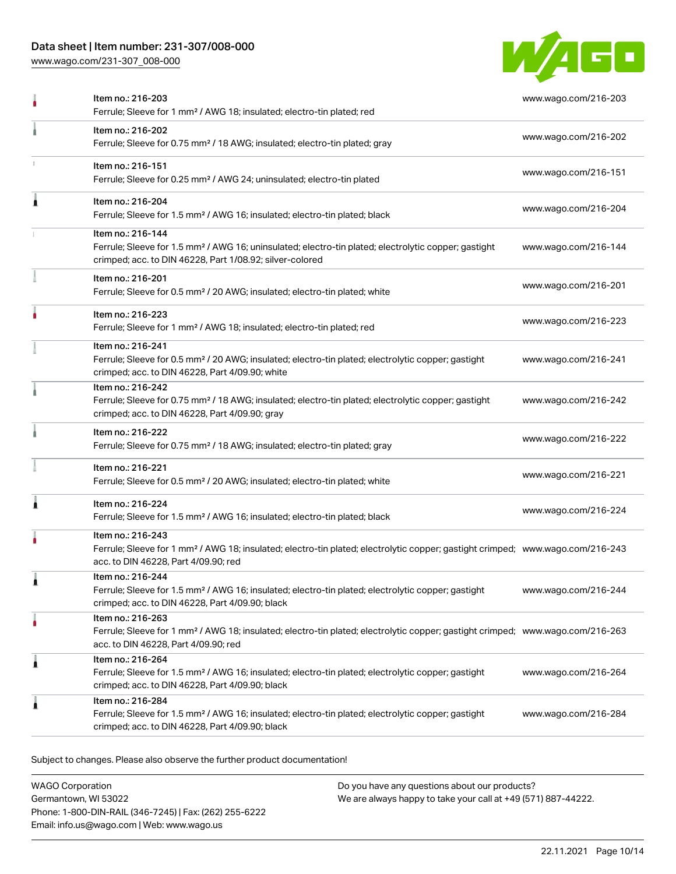# Data sheet | Item number: 231-307/008-000

[www.wago.com/231-307\\_008-000](http://www.wago.com/231-307_008-000)



|   | Item no.: 216-203<br>Ferrule; Sleeve for 1 mm <sup>2</sup> / AWG 18; insulated; electro-tin plated; red                                                                                                 | www.wago.com/216-203 |
|---|---------------------------------------------------------------------------------------------------------------------------------------------------------------------------------------------------------|----------------------|
|   | Item no.: 216-202<br>Ferrule; Sleeve for 0.75 mm <sup>2</sup> / 18 AWG; insulated; electro-tin plated; gray                                                                                             | www.wago.com/216-202 |
|   | Item no.: 216-151<br>Ferrule; Sleeve for 0.25 mm <sup>2</sup> / AWG 24; uninsulated; electro-tin plated                                                                                                 | www.wago.com/216-151 |
|   | Item no.: 216-204<br>Ferrule; Sleeve for 1.5 mm <sup>2</sup> / AWG 16; insulated; electro-tin plated; black                                                                                             | www.wago.com/216-204 |
|   | Item no.: 216-144<br>Ferrule; Sleeve for 1.5 mm <sup>2</sup> / AWG 16; uninsulated; electro-tin plated; electrolytic copper; gastight<br>crimped; acc. to DIN 46228, Part 1/08.92; silver-colored       | www.wago.com/216-144 |
|   | Item no.: 216-201<br>Ferrule; Sleeve for 0.5 mm <sup>2</sup> / 20 AWG; insulated; electro-tin plated; white                                                                                             | www.wago.com/216-201 |
|   | Item no.: 216-223<br>Ferrule; Sleeve for 1 mm <sup>2</sup> / AWG 18; insulated; electro-tin plated; red                                                                                                 | www.wago.com/216-223 |
|   | Item no.: 216-241<br>Ferrule; Sleeve for 0.5 mm <sup>2</sup> / 20 AWG; insulated; electro-tin plated; electrolytic copper; gastight<br>crimped; acc. to DIN 46228, Part 4/09.90; white                  | www.wago.com/216-241 |
|   | Item no.: 216-242<br>Ferrule; Sleeve for 0.75 mm <sup>2</sup> / 18 AWG; insulated; electro-tin plated; electrolytic copper; gastight<br>crimped; acc. to DIN 46228, Part 4/09.90; gray                  | www.wago.com/216-242 |
|   | Item no.: 216-222<br>Ferrule; Sleeve for 0.75 mm <sup>2</sup> / 18 AWG; insulated; electro-tin plated; gray                                                                                             | www.wago.com/216-222 |
|   | Item no.: 216-221<br>Ferrule; Sleeve for 0.5 mm <sup>2</sup> / 20 AWG; insulated; electro-tin plated; white                                                                                             | www.wago.com/216-221 |
|   | Item no.: 216-224<br>Ferrule; Sleeve for 1.5 mm <sup>2</sup> / AWG 16; insulated; electro-tin plated; black                                                                                             | www.wago.com/216-224 |
|   | Item no.: 216-243<br>Ferrule; Sleeve for 1 mm <sup>2</sup> / AWG 18; insulated; electro-tin plated; electrolytic copper; gastight crimped; www.wago.com/216-243<br>acc. to DIN 46228, Part 4/09.90; red |                      |
|   | Item no.: 216-244<br>Ferrule; Sleeve for 1.5 mm <sup>2</sup> / AWG 16; insulated; electro-tin plated; electrolytic copper; gastight<br>crimped; acc. to DIN 46228, Part 4/09.90; black                  | www.wago.com/216-244 |
|   | Item no.: 216-263<br>Ferrule; Sleeve for 1 mm <sup>2</sup> / AWG 18; insulated; electro-tin plated; electrolytic copper; gastight crimped; www.wago.com/216-263<br>acc. to DIN 46228, Part 4/09.90; red |                      |
| 1 | Item no.: 216-264<br>Ferrule; Sleeve for 1.5 mm <sup>2</sup> / AWG 16; insulated; electro-tin plated; electrolytic copper; gastight<br>crimped; acc. to DIN 46228, Part 4/09.90; black                  | www.wago.com/216-264 |
|   | Item no.: 216-284<br>Ferrule; Sleeve for 1.5 mm <sup>2</sup> / AWG 16; insulated; electro-tin plated; electrolytic copper; gastight<br>crimped; acc. to DIN 46228, Part 4/09.90; black                  | www.wago.com/216-284 |

Subject to changes. Please also observe the further product documentation!

WAGO Corporation Germantown, WI 53022 Phone: 1-800-DIN-RAIL (346-7245) | Fax: (262) 255-6222 Email: info.us@wago.com | Web: www.wago.us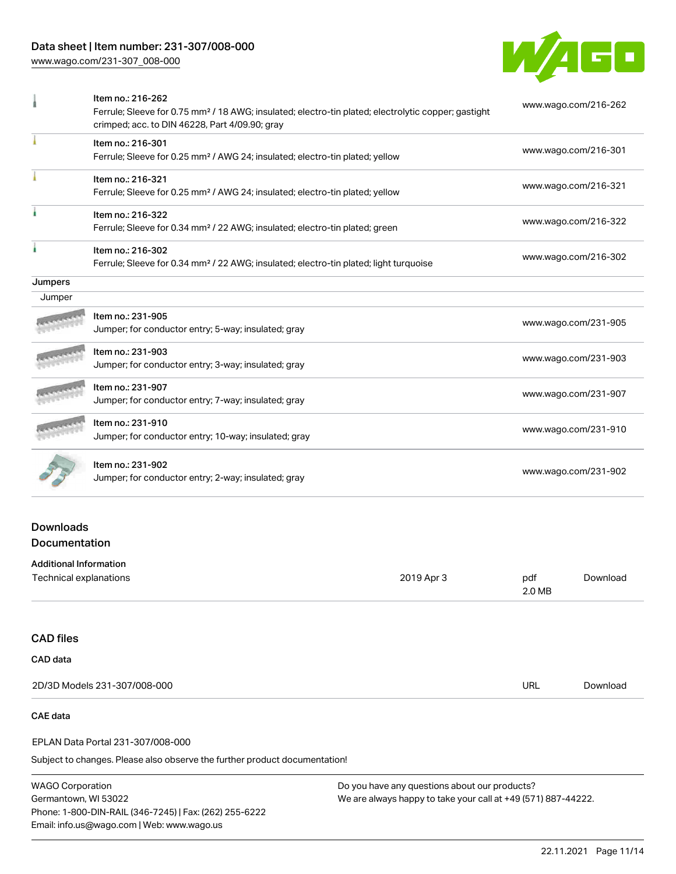# Data sheet | Item number: 231-307/008-000

[www.wago.com/231-307\\_008-000](http://www.wago.com/231-307_008-000)



|                               | Item no.: 216-262<br>Ferrule; Sleeve for 0.75 mm <sup>2</sup> / 18 AWG; insulated; electro-tin plated; electrolytic copper; gastight<br>crimped; acc. to DIN 46228, Part 4/09.90; gray |            | www.wago.com/216-262 |                      |
|-------------------------------|----------------------------------------------------------------------------------------------------------------------------------------------------------------------------------------|------------|----------------------|----------------------|
|                               | Item no.: 216-301<br>Ferrule; Sleeve for 0.25 mm <sup>2</sup> / AWG 24; insulated; electro-tin plated; yellow                                                                          |            |                      | www.wago.com/216-301 |
|                               | Item no.: 216-321<br>Ferrule; Sleeve for 0.25 mm <sup>2</sup> / AWG 24; insulated; electro-tin plated; yellow                                                                          |            |                      | www.wago.com/216-321 |
|                               | Item no.: 216-322<br>Ferrule; Sleeve for 0.34 mm <sup>2</sup> / 22 AWG; insulated; electro-tin plated; green                                                                           |            | www.wago.com/216-322 |                      |
|                               | Item no.: 216-302<br>Ferrule; Sleeve for 0.34 mm <sup>2</sup> / 22 AWG; insulated; electro-tin plated; light turquoise                                                                 |            | www.wago.com/216-302 |                      |
| Jumpers                       |                                                                                                                                                                                        |            |                      |                      |
| Jumper                        |                                                                                                                                                                                        |            |                      |                      |
|                               | Item no.: 231-905<br>Jumper; for conductor entry; 5-way; insulated; gray                                                                                                               |            |                      | www.wago.com/231-905 |
|                               | Item no.: 231-903<br>Jumper; for conductor entry; 3-way; insulated; gray                                                                                                               |            | www.wago.com/231-903 |                      |
|                               | Item no.: 231-907<br>Jumper; for conductor entry; 7-way; insulated; gray                                                                                                               |            | www.wago.com/231-907 |                      |
|                               | Item no.: 231-910<br>Jumper; for conductor entry; 10-way; insulated; gray                                                                                                              |            | www.wago.com/231-910 |                      |
|                               | Item no.: 231-902<br>Jumper; for conductor entry; 2-way; insulated; gray                                                                                                               |            | www.wago.com/231-902 |                      |
| <b>Downloads</b>              |                                                                                                                                                                                        |            |                      |                      |
| Documentation                 |                                                                                                                                                                                        |            |                      |                      |
| <b>Additional Information</b> |                                                                                                                                                                                        |            |                      |                      |
| Technical explanations        |                                                                                                                                                                                        | 2019 Apr 3 | pdf<br>2.0 MB        | Download             |

# CAD files CAD data

| 2D/3D Models 231-307/008-000 | URL | Download |
|------------------------------|-----|----------|
|                              |     |          |

# CAE data

#### EPLAN Data Portal 231-307/008-000

Subject to changes. Please also observe the further product documentation!

WAGO Corporation Germantown, WI 53022 Phone: 1-800-DIN-RAIL (346-7245) | Fax: (262) 255-6222 Email: info.us@wago.com | Web: www.wago.us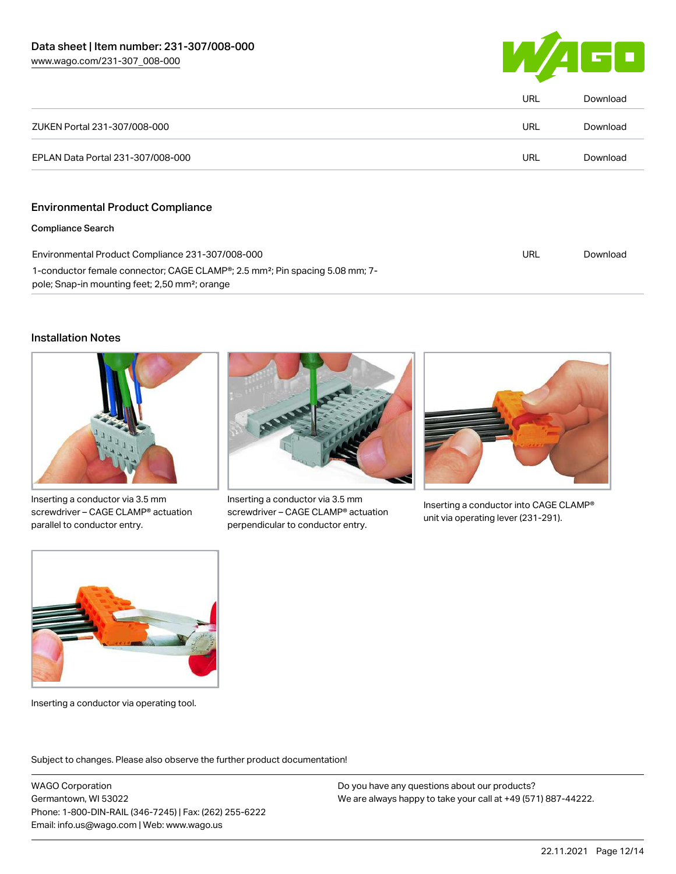

|                                                                                                                                                                     | URL | Download |
|---------------------------------------------------------------------------------------------------------------------------------------------------------------------|-----|----------|
| ZUKEN Portal 231-307/008-000                                                                                                                                        | URL | Download |
| EPLAN Data Portal 231-307/008-000                                                                                                                                   | URL | Download |
|                                                                                                                                                                     |     |          |
| <b>Environmental Product Compliance</b>                                                                                                                             |     |          |
| <b>Compliance Search</b>                                                                                                                                            |     |          |
| Environmental Product Compliance 231-307/008-000                                                                                                                    | URL | Download |
| 1-conductor female connector; CAGE CLAMP <sup>®</sup> ; 2.5 mm <sup>2</sup> ; Pin spacing 5.08 mm; 7-<br>pole; Snap-in mounting feet; 2,50 mm <sup>2</sup> ; orange |     |          |

# Installation Notes



Inserting a conductor via 3.5 mm screwdriver – CAGE CLAMP® actuation parallel to conductor entry.



Inserting a conductor via 3.5 mm screwdriver – CAGE CLAMP® actuation perpendicular to conductor entry.



Inserting a conductor into CAGE CLAMP® unit via operating lever (231-291).



Inserting a conductor via operating tool.

Subject to changes. Please also observe the further product documentation!

WAGO Corporation Germantown, WI 53022 Phone: 1-800-DIN-RAIL (346-7245) | Fax: (262) 255-6222 Email: info.us@wago.com | Web: www.wago.us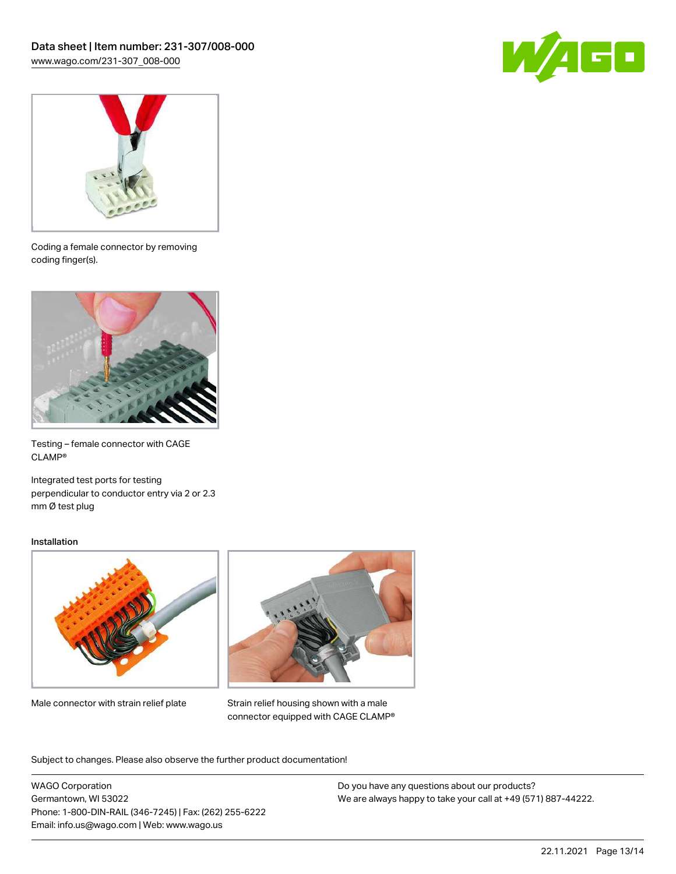



Coding a female connector by removing coding finger(s).



Testing – female connector with CAGE CLAMP®

Integrated test ports for testing perpendicular to conductor entry via 2 or 2.3 mm Ø test plug

### Installation



Male connector with strain relief plate



Strain relief housing shown with a male connector equipped with CAGE CLAMP®

Subject to changes. Please also observe the further product documentation!

WAGO Corporation Germantown, WI 53022 Phone: 1-800-DIN-RAIL (346-7245) | Fax: (262) 255-6222 Email: info.us@wago.com | Web: www.wago.us